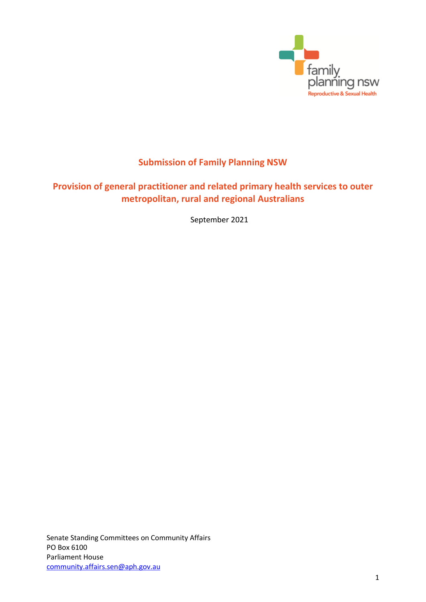

# **Submission of Family Planning NSW**

# **Provision of general practitioner and related primary health services to outer metropolitan, rural and regional Australians**

September 2021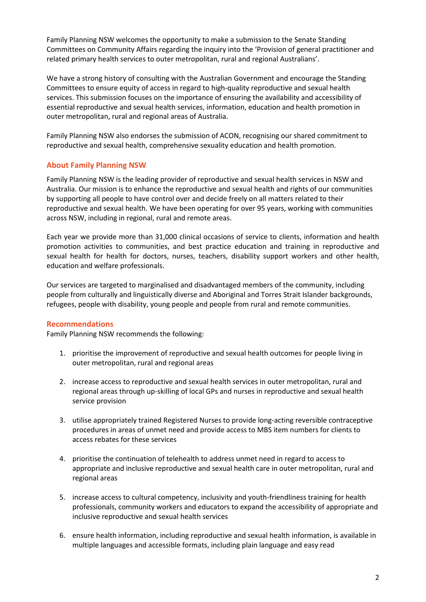Family Planning NSW welcomes the opportunity to make a submission to the Senate Standing Committees on Community Affairs regarding the inquiry into the 'Provision of general practitioner and related primary health services to outer metropolitan, rural and regional Australians'.

We have a strong history of consulting with the Australian Government and encourage the Standing Committees to ensure equity of access in regard to high-quality reproductive and sexual health services. This submission focuses on the importance of ensuring the availability and accessibility of essential reproductive and sexual health services, information, education and health promotion in outer metropolitan, rural and regional areas of Australia.

Family Planning NSW also endorses the submission of ACON, recognising our shared commitment to reproductive and sexual health, comprehensive sexuality education and health promotion.

# **About Family Planning NSW**

Family Planning NSW is the leading provider of reproductive and sexual health services in NSW and Australia. Our mission is to enhance the reproductive and sexual health and rights of our communities by supporting all people to have control over and decide freely on all matters related to their reproductive and sexual health. We have been operating for over 95 years, working with communities across NSW, including in regional, rural and remote areas.

Each year we provide more than 31,000 clinical occasions of service to clients, information and health promotion activities to communities, and best practice education and training in reproductive and sexual health for health for doctors, nurses, teachers, disability support workers and other health, education and welfare professionals.

Our services are targeted to marginalised and disadvantaged members of the community, including people from culturally and linguistically diverse and Aboriginal and Torres Strait Islander backgrounds, refugees, people with disability, young people and people from rural and remote communities.

# **Recommendations**

Family Planning NSW recommends the following:

- 1. prioritise the improvement of reproductive and sexual health outcomes for people living in outer metropolitan, rural and regional areas
- 2. increase access to reproductive and sexual health services in outer metropolitan, rural and regional areas through up-skilling of local GPs and nurses in reproductive and sexual health service provision
- 3. utilise appropriately trained Registered Nurses to provide long-acting reversible contraceptive procedures in areas of unmet need and provide access to MBS item numbers for clients to access rebates for these services
- 4. prioritise the continuation of telehealth to address unmet need in regard to access to appropriate and inclusive reproductive and sexual health care in outer metropolitan, rural and regional areas
- 5. increase access to cultural competency, inclusivity and youth-friendliness training for health professionals, community workers and educators to expand the accessibility of appropriate and inclusive reproductive and sexual health services
- 6. ensure health information, including reproductive and sexual health information, is available in multiple languages and accessible formats, including plain language and easy read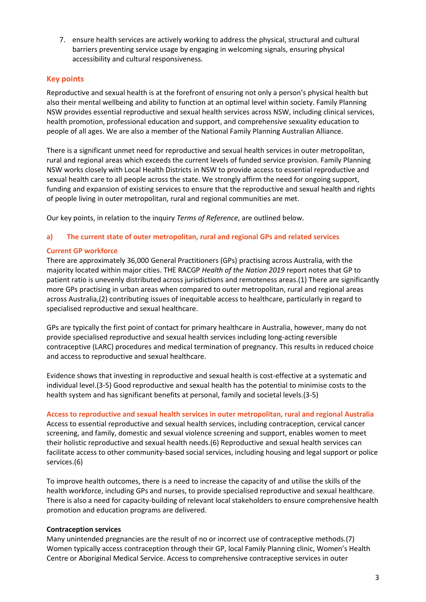7. ensure health services are actively working to address the physical, structural and cultural barriers preventing service usage by engaging in welcoming signals, ensuring physical accessibility and cultural responsiveness.

# **Key points**

Reproductive and sexual health is at the forefront of ensuring not only a person's physical health but also their mental wellbeing and ability to function at an optimal level within society. Family Planning NSW provides essential reproductive and sexual health services across NSW, including clinical services, health promotion, professional education and support, and comprehensive sexuality education to people of all ages. We are also a member of the National Family Planning Australian Alliance.

There is a significant unmet need for reproductive and sexual health services in outer metropolitan, rural and regional areas which exceeds the current levels of funded service provision. Family Planning NSW works closely with Local Health Districts in NSW to provide access to essential reproductive and sexual health care to all people across the state. We strongly affirm the need for ongoing support, funding and expansion of existing services to ensure that the reproductive and sexual health and rights of people living in outer metropolitan, rural and regional communities are met.

Our key points, in relation to the inquiry *Terms of Reference*, are outlined below.

## **a) The current state of outer metropolitan, rural and regional GPs and related services**

## **Current GP workforce**

There are approximately 36,000 General Practitioners (GPs) practising across Australia, with the majority located within major cities. THE RACGP *Health of the Nation 2019* report notes that GP to patient ratio is unevenly distributed across jurisdictions and remoteness areas.(1) There are significantly more GPs practising in urban areas when compared to outer metropolitan, rural and regional areas across Australia,(2) contributing issues of inequitable access to healthcare, particularly in regard to specialised reproductive and sexual healthcare.

GPs are typically the first point of contact for primary healthcare in Australia, however, many do not provide specialised reproductive and sexual health services including long-acting reversible contraceptive (LARC) procedures and medical termination of pregnancy. This results in reduced choice and access to reproductive and sexual healthcare.

Evidence shows that investing in reproductive and sexual health is cost-effective at a systematic and individual level.(3-5) Good reproductive and sexual health has the potential to minimise costs to the health system and has significant benefits at personal, family and societal levels.(3-5)

**Access to reproductive and sexual health services in outer metropolitan, rural and regional Australia** Access to essential reproductive and sexual health services, including contraception, cervical cancer screening, and family, domestic and sexual violence screening and support, enables women to meet their holistic reproductive and sexual health needs.(6) Reproductive and sexual health services can facilitate access to other community-based social services, including housing and legal support or police services.(6)

To improve health outcomes, there is a need to increase the capacity of and utilise the skills of the health workforce, including GPs and nurses, to provide specialised reproductive and sexual healthcare. There is also a need for capacity-building of relevant local stakeholders to ensure comprehensive health promotion and education programs are delivered.

#### **Contraception services**

Many unintended pregnancies are the result of no or incorrect use of contraceptive methods.(7) Women typically access contraception through their GP, local Family Planning clinic, Women's Health Centre or Aboriginal Medical Service. Access to comprehensive contraceptive services in outer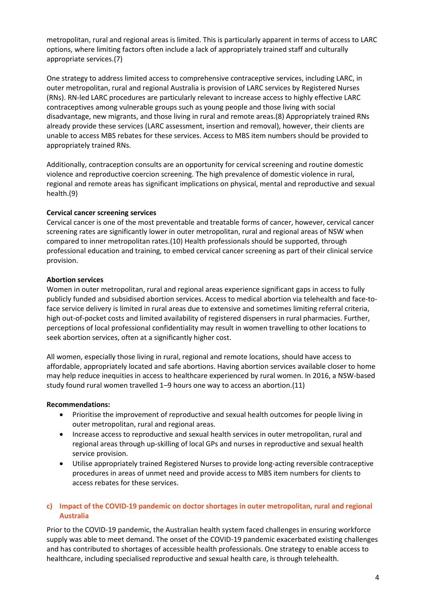metropolitan, rural and regional areas is limited. This is particularly apparent in terms of access to LARC options, where limiting factors often include a lack of appropriately trained staff and culturally appropriate services.(7)

One strategy to address limited access to comprehensive contraceptive services, including LARC, in outer metropolitan, rural and regional Australia is provision of LARC services by Registered Nurses (RNs). RN-led LARC procedures are particularly relevant to increase access to highly effective LARC contraceptives among vulnerable groups such as young people and those living with social disadvantage, new migrants, and those living in rural and remote areas.(8) Appropriately trained RNs already provide these services (LARC assessment, insertion and removal), however, their clients are unable to access MBS rebates for these services. Access to MBS item numbers should be provided to appropriately trained RNs.

Additionally, contraception consults are an opportunity for cervical screening and routine domestic violence and reproductive coercion screening. The high prevalence of domestic violence in rural, regional and remote areas has significant implications on physical, mental and reproductive and sexual health.(9)

# **Cervical cancer screening services**

Cervical cancer is one of the most preventable and treatable forms of cancer, however, cervical cancer screening rates are significantly lower in outer metropolitan, rural and regional areas of NSW when compared to inner metropolitan rates.(10) Health professionals should be supported, through professional education and training, to embed cervical cancer screening as part of their clinical service provision.

## **Abortion services**

Women in outer metropolitan, rural and regional areas experience significant gaps in access to fully publicly funded and subsidised abortion services. Access to medical abortion via telehealth and face-toface service delivery is limited in rural areas due to extensive and sometimes limiting referral criteria, high out-of-pocket costs and limited availability of registered dispensers in rural pharmacies. Further, perceptions of local professional confidentiality may result in women travelling to other locations to seek abortion services, often at a significantly higher cost.

All women, especially those living in rural, regional and remote locations, should have access to affordable, appropriately located and safe abortions. Having abortion services available closer to home may help reduce inequities in access to healthcare experienced by rural women. In 2016, a NSW-based study found rural women travelled 1–9 hours one way to access an abortion.(11)

#### **Recommendations:**

- Prioritise the improvement of reproductive and sexual health outcomes for people living in outer metropolitan, rural and regional areas.
- Increase access to reproductive and sexual health services in outer metropolitan, rural and regional areas through up-skilling of local GPs and nurses in reproductive and sexual health service provision.
- Utilise appropriately trained Registered Nurses to provide long-acting reversible contraceptive procedures in areas of unmet need and provide access to MBS item numbers for clients to access rebates for these services.

# **c) Impact of the COVID-19 pandemic on doctor shortages in outer metropolitan, rural and regional Australia**

Prior to the COVID-19 pandemic, the Australian health system faced challenges in ensuring workforce supply was able to meet demand. The onset of the COVID-19 pandemic exacerbated existing challenges and has contributed to shortages of accessible health professionals. One strategy to enable access to healthcare, including specialised reproductive and sexual health care, is through telehealth.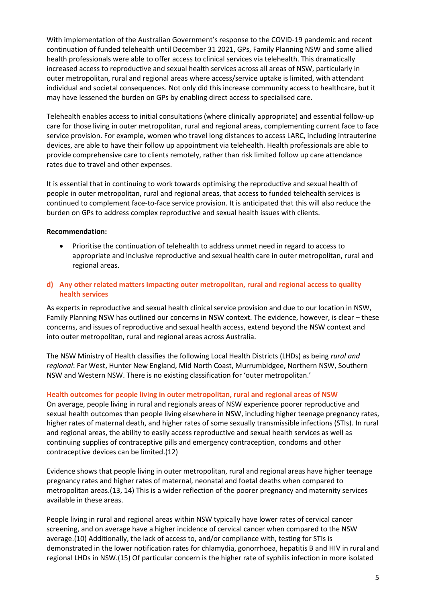With implementation of the Australian Government's response to the COVID-19 pandemic and recent continuation of funded telehealth until December 31 2021, GPs, Family Planning NSW and some allied health professionals were able to offer access to clinical services via telehealth. This dramatically increased access to reproductive and sexual health services across all areas of NSW, particularly in outer metropolitan, rural and regional areas where access/service uptake is limited, with attendant individual and societal consequences. Not only did this increase community access to healthcare, but it may have lessened the burden on GPs by enabling direct access to specialised care.

Telehealth enables access to initial consultations (where clinically appropriate) and essential follow-up care for those living in outer metropolitan, rural and regional areas, complementing current face to face service provision. For example, women who travel long distances to access LARC, including intrauterine devices, are able to have their follow up appointment via telehealth. Health professionals are able to provide comprehensive care to clients remotely, rather than risk limited follow up care attendance rates due to travel and other expenses.

It is essential that in continuing to work towards optimising the reproductive and sexual health of people in outer metropolitan, rural and regional areas, that access to funded telehealth services is continued to complement face-to-face service provision. It is anticipated that this will also reduce the burden on GPs to address complex reproductive and sexual health issues with clients.

## **Recommendation:**

 Prioritise the continuation of telehealth to address unmet need in regard to access to appropriate and inclusive reproductive and sexual health care in outer metropolitan, rural and regional areas.

# **d) Any other related matters impacting outer metropolitan, rural and regional access to quality health services**

As experts in reproductive and sexual health clinical service provision and due to our location in NSW, Family Planning NSW has outlined our concerns in NSW context. The evidence, however, is clear – these concerns, and issues of reproductive and sexual health access, extend beyond the NSW context and into outer metropolitan, rural and regional areas across Australia.

The NSW Ministry of Health classifies the following Local Health Districts (LHDs) as being *rural and regional*: Far West, Hunter New England, Mid North Coast, Murrumbidgee, Northern NSW, Southern NSW and Western NSW. There is no existing classification for 'outer metropolitan.'

#### **Health outcomes for people living in outer metropolitan, rural and regional areas of NSW**

On average, people living in rural and regionals areas of NSW experience poorer reproductive and sexual health outcomes than people living elsewhere in NSW, including higher teenage pregnancy rates, higher rates of maternal death, and higher rates of some sexually transmissible infections (STIs). In rural and regional areas, the ability to easily access reproductive and sexual health services as well as continuing supplies of contraceptive pills and emergency contraception, condoms and other contraceptive devices can be limited.(12)

Evidence shows that people living in outer metropolitan, rural and regional areas have higher teenage pregnancy rates and higher rates of maternal, neonatal and foetal deaths when compared to metropolitan areas.(13, 14) This is a wider reflection of the poorer pregnancy and maternity services available in these areas.

People living in rural and regional areas within NSW typically have lower rates of cervical cancer screening, and on average have a higher incidence of cervical cancer when compared to the NSW average.(10) Additionally, the lack of access to, and/or compliance with, testing for STIs is demonstrated in the lower notification rates for chlamydia, gonorrhoea, hepatitis B and HIV in rural and regional LHDs in NSW.(15) Of particular concern is the higher rate of syphilis infection in more isolated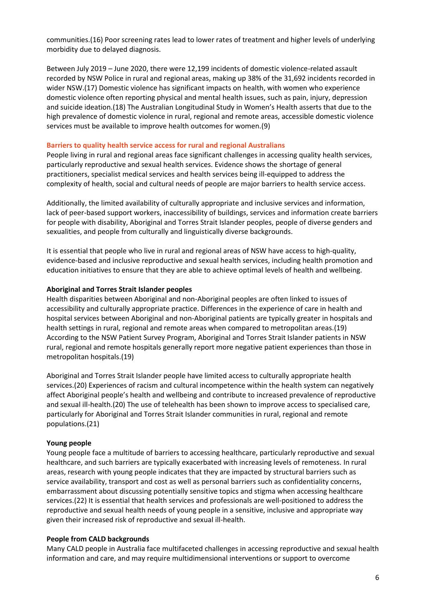communities.(16) Poor screening rates lead to lower rates of treatment and higher levels of underlying morbidity due to delayed diagnosis.

Between July 2019 – June 2020, there were 12,199 incidents of domestic violence-related assault recorded by NSW Police in rural and regional areas, making up 38% of the 31,692 incidents recorded in wider NSW.(17) Domestic violence has significant impacts on health, with women who experience domestic violence often reporting physical and mental health issues, such as pain, injury, depression and suicide ideation.(18) The Australian Longitudinal Study in Women's Health asserts that due to the high prevalence of domestic violence in rural, regional and remote areas, accessible domestic violence services must be available to improve health outcomes for women.(9)

#### **Barriers to quality health service access for rural and regional Australians**

People living in rural and regional areas face significant challenges in accessing quality health services, particularly reproductive and sexual health services. Evidence shows the shortage of general practitioners, specialist medical services and health services being ill-equipped to address the complexity of health, social and cultural needs of people are major barriers to health service access.

Additionally, the limited availability of culturally appropriate and inclusive services and information, lack of peer-based support workers, inaccessibility of buildings, services and information create barriers for people with disability, Aboriginal and Torres Strait Islander peoples, people of diverse genders and sexualities, and people from culturally and linguistically diverse backgrounds.

It is essential that people who live in rural and regional areas of NSW have access to high-quality, evidence-based and inclusive reproductive and sexual health services, including health promotion and education initiatives to ensure that they are able to achieve optimal levels of health and wellbeing.

#### **Aboriginal and Torres Strait Islander peoples**

Health disparities between Aboriginal and non-Aboriginal peoples are often linked to issues of accessibility and culturally appropriate practice. Differences in the experience of care in health and hospital services between Aboriginal and non-Aboriginal patients are typically greater in hospitals and health settings in rural, regional and remote areas when compared to metropolitan areas.(19) According to the NSW Patient Survey Program, Aboriginal and Torres Strait Islander patients in NSW rural, regional and remote hospitals generally report more negative patient experiences than those in metropolitan hospitals.(19)

Aboriginal and Torres Strait Islander people have limited access to culturally appropriate health services.(20) Experiences of racism and cultural incompetence within the health system can negatively affect Aboriginal people's health and wellbeing and contribute to increased prevalence of reproductive and sexual ill-health.(20) The use of telehealth has been shown to improve access to specialised care, particularly for Aboriginal and Torres Strait Islander communities in rural, regional and remote populations.(21)

#### **Young people**

Young people face a multitude of barriers to accessing healthcare, particularly reproductive and sexual healthcare, and such barriers are typically exacerbated with increasing levels of remoteness. In rural areas, research with young people indicates that they are impacted by structural barriers such as service availability, transport and cost as well as personal barriers such as confidentiality concerns, embarrassment about discussing potentially sensitive topics and stigma when accessing healthcare services.(22) It is essential that health services and professionals are well-positioned to address the reproductive and sexual health needs of young people in a sensitive, inclusive and appropriate way given their increased risk of reproductive and sexual ill-health.

#### **People from CALD backgrounds**

Many CALD people in Australia face multifaceted challenges in accessing reproductive and sexual health information and care, and may require multidimensional interventions or support to overcome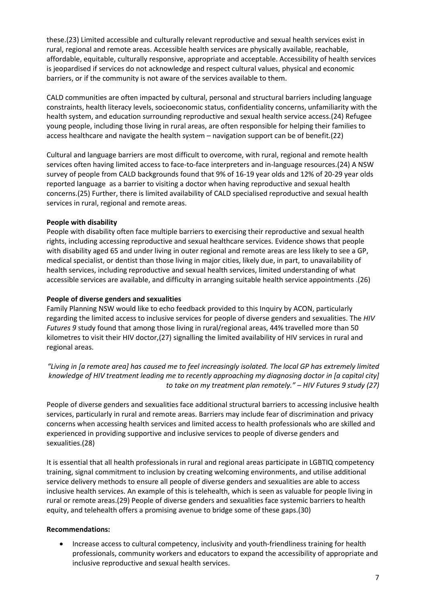these.(23) Limited accessible and culturally relevant reproductive and sexual health services exist in rural, regional and remote areas. Accessible health services are physically available, reachable, affordable, equitable, culturally responsive, appropriate and acceptable. Accessibility of health services is jeopardised if services do not acknowledge and respect cultural values, physical and economic barriers, or if the community is not aware of the services available to them.

CALD communities are often impacted by cultural, personal and structural barriers including language constraints, health literacy levels, socioeconomic status, confidentiality concerns, unfamiliarity with the health system, and education surrounding reproductive and sexual health service access.(24) Refugee young people, including those living in rural areas, are often responsible for helping their families to access healthcare and navigate the health system – navigation support can be of benefit.(22)

Cultural and language barriers are most difficult to overcome, with rural, regional and remote health services often having limited access to face-to-face interpreters and in-language resources.(24) A NSW survey of people from CALD backgrounds found that 9% of 16-19 year olds and 12% of 20-29 year olds reported language as a barrier to visiting a doctor when having reproductive and sexual health concerns.(25) Further, there is limited availability of CALD specialised reproductive and sexual health services in rural, regional and remote areas.

## **People with disability**

People with disability often face multiple barriers to exercising their reproductive and sexual health rights, including accessing reproductive and sexual healthcare services. Evidence shows that people with disability aged 65 and under living in outer regional and remote areas are less likely to see a GP, medical specialist, or dentist than those living in major cities, likely due, in part, to unavailability of health services, including reproductive and sexual health services, limited understanding of what accessible services are available, and difficulty in arranging suitable health service appointments .(26)

## **People of diverse genders and sexualities**

Family Planning NSW would like to echo feedback provided to this Inquiry by ACON, particularly regarding the limited access to inclusive services for people of diverse genders and sexualities. The *HIV Futures 9* study found that among those living in rural/regional areas, 44% travelled more than 50 kilometres to visit their HIV doctor,(27) signalling the limited availability of HIV services in rural and regional areas.

*"Living in [a remote area] has caused me to feel increasingly isolated. The local GP has extremely limited knowledge of HIV treatment leading me to recently approaching my diagnosing doctor in [a capital city] to take on my treatment plan remotely." – HIV Futures 9 study (27)*

People of diverse genders and sexualities face additional structural barriers to accessing inclusive health services, particularly in rural and remote areas. Barriers may include fear of discrimination and privacy concerns when accessing health services and limited access to health professionals who are skilled and experienced in providing supportive and inclusive services to people of diverse genders and sexualities.(28)

It is essential that all health professionals in rural and regional areas participate in LGBTIQ competency training, signal commitment to inclusion by creating welcoming environments, and utilise additional service delivery methods to ensure all people of diverse genders and sexualities are able to access inclusive health services. An example of this is telehealth, which is seen as valuable for people living in rural or remote areas.(29) People of diverse genders and sexualities face systemic barriers to health equity, and telehealth offers a promising avenue to bridge some of these gaps.(30)

# **Recommendations:**

 Increase access to cultural competency, inclusivity and youth-friendliness training for health professionals, community workers and educators to expand the accessibility of appropriate and inclusive reproductive and sexual health services.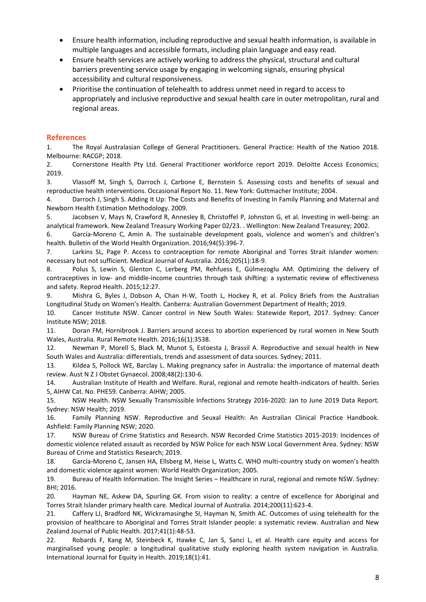- Ensure health information, including reproductive and sexual health information, is available in multiple languages and accessible formats, including plain language and easy read.
- Ensure health services are actively working to address the physical, structural and cultural barriers preventing service usage by engaging in welcoming signals, ensuring physical accessibility and cultural responsiveness.
- Prioritise the continuation of telehealth to address unmet need in regard to access to appropriately and inclusive reproductive and sexual health care in outer metropolitan, rural and regional areas.

## **References**

1. The Royal Australasian College of General Practitioners. General Practice: Health of the Nation 2018. Melbourne: RACGP; 2018.

2. Cornerstone Health Pty Ltd. General Practitioner workforce report 2019. Deloitte Access Economics; 2019.

3. Vlassoff M, Singh S, Darroch J, Carbone E, Bernstein S. Assessing costs and benefits of sexual and reproductive health interventions. Occasional Report No. 11. New York: Guttmacher Institute; 2004.

4. Darroch J, Singh S. Adding It Up: The Costs and Benefits of Investing In Family Planning and Maternal and Newborn Health Estimation Methodology. 2009.

5. Jacobsen V, Mays N, Crawford R, Annesley B, Christoffel P, Johnston G, et al. Investing in well-being: an analytical framework. New Zealand Treasury Working Paper 02/23. . Wellington: New Zealand Treasurey; 2002.

6. García-Moreno C, Amin A. The sustainable development goals, violence and women's and children's health. Bulletin of the World Health Organization. 2016;94(5):396-7.

7. Larkins SL, Page P. Access to contraception for remote Aboriginal and Torres Strait Islander women: necessary but not sufficient. Medical Journal of Australia. 2016;205(1):18-9.

8. Polus S, Lewin S, Glenton C, Lerberg PM, Rehfuess E, Gülmezoglu AM. Optimizing the delivery of contraceptives in low- and middle-income countries through task shifting: a systematic review of effectiveness and safety. Reprod Health. 2015;12:27.

9. Mishra G, Byles J, Dobson A, Chan H-W, Tooth L, Hockey R, et al. Policy Briefs from the Australian Longitudinal Study on Women's Health. Canberra: Australian Government Department of Health; 2019.

10. Cancer Institute NSW. Cancer control in New South Wales: Statewide Report, 2017. Sydney: Cancer Institute NSW; 2018.

11. Doran FM, Hornibrook J. Barriers around access to abortion experienced by rural women in New South Wales, Australia. Rural Remote Health. 2016;16(1):3538.

12. Newman P, Morell S, Black M, Munot S, Estoesta J, Brassil A. Reproductive and sexual health in New South Wales and Australia: differentials, trends and assessment of data sources. Sydney; 2011.

13. Kildea S, Pollock WE, Barclay L. Making pregnancy safer in Australia: the importance of maternal death review. Aust N Z J Obstet Gynaecol. 2008;48(2):130-6.

14. Australian Institute of Health and Welfare. Rural, regional and remote health-indicators of health. Series 5, AIHW Cat. No. PHE59. Canberra: AIHW; 2005.

15. NSW Health. NSW Sexually Transmissible Infections Strategy 2016-2020: Jan to June 2019 Data Report. Sydney: NSW Health; 2019.

16. Family Planning NSW. Reproductive and Seuxal Health: An Australian Clinical Practice Handbook. Ashfield: Family Planning NSW; 2020.

17. NSW Bureau of Crime Statistics and Research. NSW Recorded Crime Statistics 2015-2019: Incidences of domestic violence related assault as recorded by NSW Police for each NSW Local Government Area. Sydney: NSW Bureau of Crime and Statistics Research; 2019.

18. García-Moreno C, Jansen HA, Ellsberg M, Heise L, Watts C. WHO multi-country study on women's health and domestic violence against women: World Health Organization; 2005.

19. Bureau of Health Information. The Insight Series – Healthcare in rural, regional and remote NSW. Sydney: BHI; 2016.

20. Hayman NE, Askew DA, Spurling GK. From vision to reality: a centre of excellence for Aboriginal and Torres Strait Islander primary health care. Medical Journal of Australia. 2014;200(11):623-4.

21. Caffery LJ, Bradford NK, Wickramasinghe SI, Hayman N, Smith AC. Outcomes of using telehealth for the provision of healthcare to Aboriginal and Torres Strait Islander people: a systematic review. Australian and New Zealand Journal of Public Health. 2017;41(1):48-53.

22. Robards F, Kang M, Steinbeck K, Hawke C, Jan S, Sanci L, et al. Health care equity and access for marginalised young people: a longitudinal qualitative study exploring health system navigation in Australia. International Journal for Equity in Health. 2019;18(1):41.